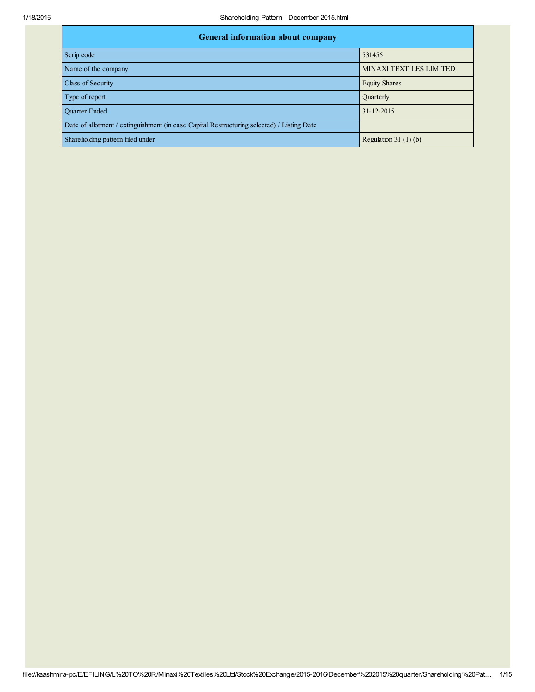| <b>General information about company</b>                                                   |                                |
|--------------------------------------------------------------------------------------------|--------------------------------|
| Scrip code                                                                                 | 531456                         |
| Name of the company                                                                        | <b>MINAXI TEXTILES LIMITED</b> |
| Class of Security                                                                          | <b>Equity Shares</b>           |
| Type of report                                                                             | <b>Quarterly</b>               |
| <b>Ouarter Ended</b>                                                                       | 31-12-2015                     |
| Date of allotment / extinguishment (in case Capital Restructuring selected) / Listing Date |                                |
| Shareholding pattern filed under                                                           | Regulation 31 $(1)(b)$         |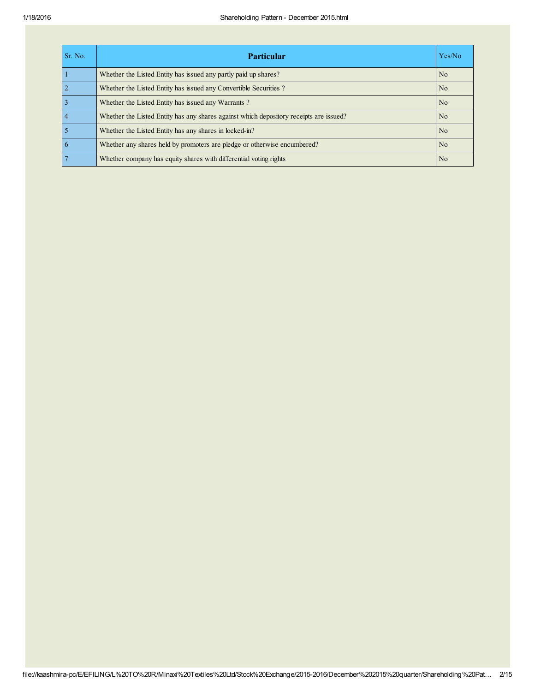| Sr. No.         | <b>Particular</b>                                                                      | Yes/No         |
|-----------------|----------------------------------------------------------------------------------------|----------------|
|                 | Whether the Listed Entity has issued any partly paid up shares?                        | N <sub>o</sub> |
| $\overline{2}$  | Whether the Listed Entity has issued any Convertible Securities?                       | N <sub>o</sub> |
| $\overline{3}$  | Whether the Listed Entity has issued any Warrants?                                     | N <sub>o</sub> |
| $\vert$ 4       | Whether the Listed Entity has any shares against which depository receipts are issued? | N <sub>o</sub> |
| $\overline{5}$  | Whether the Listed Entity has any shares in locked-in?                                 | N <sub>o</sub> |
| $6\overline{6}$ | Whether any shares held by promoters are pledge or otherwise encumbered?               | N <sub>o</sub> |
| $\overline{7}$  | Whether company has equity shares with differential voting rights                      | N <sub>o</sub> |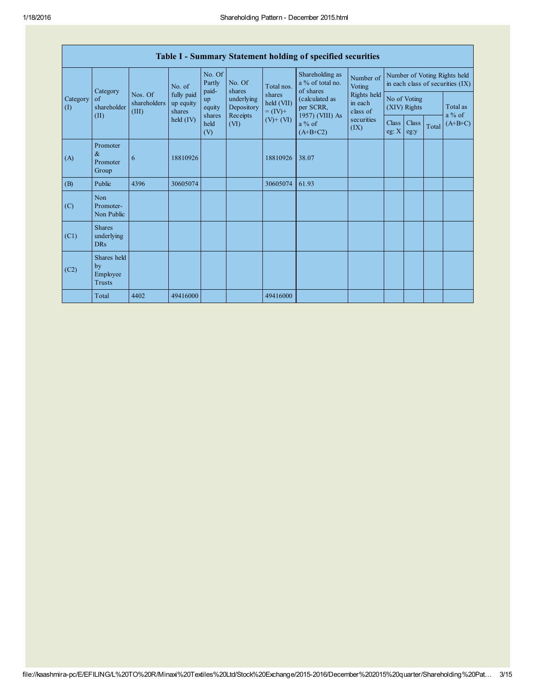|                 | Table I - Summary Statement holding of specified securities |                                  |                                   |                               |                                      |                                                                  |                                                                                                                            |                                                                                 |                                                                  |               |       |                      |
|-----------------|-------------------------------------------------------------|----------------------------------|-----------------------------------|-------------------------------|--------------------------------------|------------------------------------------------------------------|----------------------------------------------------------------------------------------------------------------------------|---------------------------------------------------------------------------------|------------------------------------------------------------------|---------------|-------|----------------------|
| Category<br>(I) |                                                             |                                  | No. of                            | No. Of<br>Partly<br>paid-     | No. Of<br>shares                     | Total nos.<br>shares<br>held (VII)<br>$= (IV) +$<br>$(V) + (VI)$ | Shareholding as<br>a % of total no.<br>of shares<br>(calculated as<br>per SCRR,<br>1957) (VIII) As<br>a % of<br>$(A+B+C2)$ | Number of<br>Voting<br>Rights held<br>in each<br>class of<br>securities<br>(IX) | Number of Voting Rights held<br>in each class of securities (IX) |               |       |                      |
|                 | Category<br>of<br>shareholder<br>(II)                       | Nos. Of<br>shareholders<br>(III) | fully paid<br>up equity<br>shares | <b>up</b><br>equity<br>shares | underlying<br>Depository<br>Receipts |                                                                  |                                                                                                                            |                                                                                 | No of Voting<br>(XIV) Rights                                     |               |       | Total as<br>$a\%$ of |
|                 |                                                             |                                  | $\text{held (IV)}$                | held<br>(V)                   | (VI)                                 |                                                                  |                                                                                                                            |                                                                                 | Class<br>eg: $X$                                                 | Class<br>eg:y | Total | $(A+B+C)$            |
| (A)             | Promoter<br>&<br>Promoter<br>Group                          | 6                                | 18810926                          |                               |                                      | 18810926                                                         | 38.07                                                                                                                      |                                                                                 |                                                                  |               |       |                      |
| (B)             | Public                                                      | 4396                             | 30605074                          |                               |                                      | 30605074                                                         | 61.93                                                                                                                      |                                                                                 |                                                                  |               |       |                      |
| (C)             | Non<br>Promoter-<br>Non Public                              |                                  |                                   |                               |                                      |                                                                  |                                                                                                                            |                                                                                 |                                                                  |               |       |                      |
| (C1)            | <b>Shares</b><br>underlying<br><b>DRs</b>                   |                                  |                                   |                               |                                      |                                                                  |                                                                                                                            |                                                                                 |                                                                  |               |       |                      |
| (C2)            | Shares held<br>by<br>Employee<br><b>Trusts</b>              |                                  |                                   |                               |                                      |                                                                  |                                                                                                                            |                                                                                 |                                                                  |               |       |                      |
|                 | Total                                                       | 4402                             | 49416000                          |                               |                                      | 49416000                                                         |                                                                                                                            |                                                                                 |                                                                  |               |       |                      |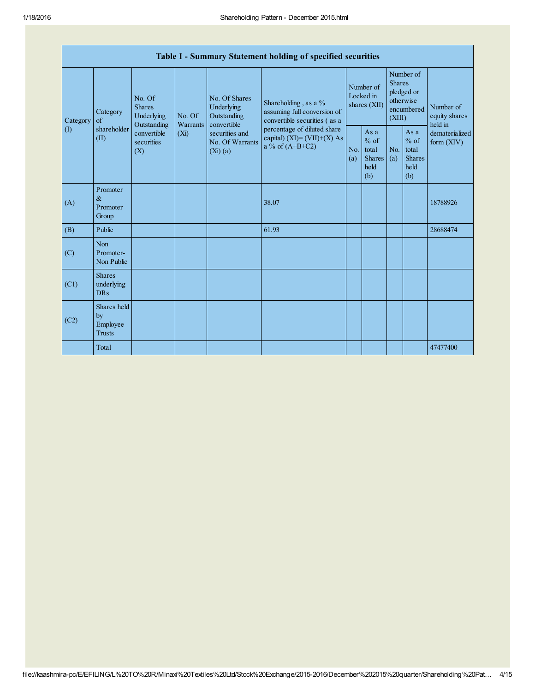|          | Table I - Summary Statement holding of specified securities |                                                 |         |                                                   |                                                                                    |                                                                                     |                                                         |                                                                                                                                                        |                                |          |                                       |
|----------|-------------------------------------------------------------|-------------------------------------------------|---------|---------------------------------------------------|------------------------------------------------------------------------------------|-------------------------------------------------------------------------------------|---------------------------------------------------------|--------------------------------------------------------------------------------------------------------------------------------------------------------|--------------------------------|----------|---------------------------------------|
| Category | Category                                                    | No. Of<br><b>Shares</b><br>Underlying<br>of     |         | No. Of<br>Warrants                                | No. Of Shares<br>Underlying<br>Outstanding<br>convertible                          | Shareholding, as a %<br>assuming full conversion of<br>convertible securities (as a |                                                         | Number of<br>Locked in<br>shares (XII)                                                                                                                 |                                |          | Number of<br>equity shares<br>held in |
| (1)      | shareholder<br>(II)                                         | Outstanding<br>convertible<br>securities<br>(X) | $(X_i)$ | securities and<br>No. Of Warrants<br>$(Xi)$ $(a)$ | percentage of diluted share<br>capital) $(XI) = (VII)+(X) As$<br>a % of $(A+B+C2)$ | No.<br>(a)                                                                          | As a<br>$%$ of<br>total<br><b>Shares</b><br>held<br>(b) | Number of<br><b>Shares</b><br>pledged or<br>otherwise<br>encumbered<br>(XIII)<br>As a<br>$%$ of<br>No.<br>total<br><b>Shares</b><br>(a)<br>held<br>(b) | dematerialized<br>form $(XIV)$ |          |                                       |
| (A)      | Promoter<br>$\&$<br>Promoter<br>Group                       |                                                 |         |                                                   | 38.07                                                                              |                                                                                     |                                                         |                                                                                                                                                        |                                | 18788926 |                                       |
| (B)      | Public                                                      |                                                 |         |                                                   | 61.93                                                                              |                                                                                     |                                                         |                                                                                                                                                        |                                | 28688474 |                                       |
| (C)      | Non<br>Promoter-<br>Non Public                              |                                                 |         |                                                   |                                                                                    |                                                                                     |                                                         |                                                                                                                                                        |                                |          |                                       |
| (C1)     | <b>Shares</b><br>underlying<br><b>DRs</b>                   |                                                 |         |                                                   |                                                                                    |                                                                                     |                                                         |                                                                                                                                                        |                                |          |                                       |
| (C2)     | Shares held<br>by<br>Employee<br><b>Trusts</b>              |                                                 |         |                                                   |                                                                                    |                                                                                     |                                                         |                                                                                                                                                        |                                |          |                                       |
|          | Total                                                       |                                                 |         |                                                   |                                                                                    |                                                                                     |                                                         |                                                                                                                                                        |                                | 47477400 |                                       |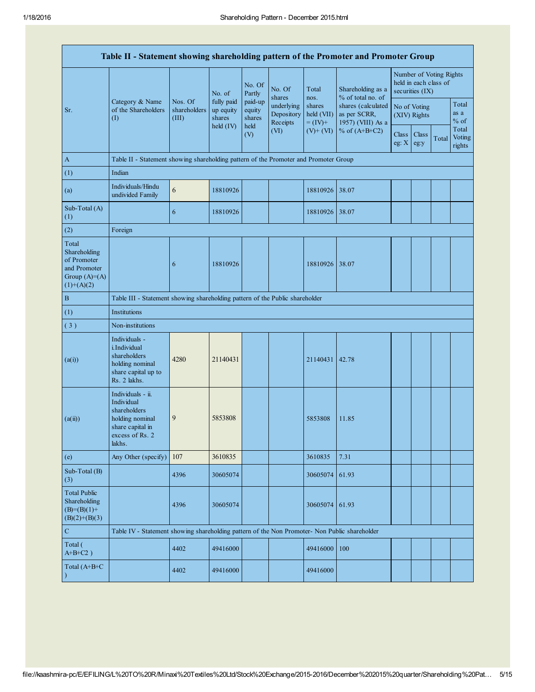| Table II - Statement showing shareholding pattern of the Promoter and Promoter Group    |                                                                                                                     |                                                                                      |                                             |                                                 |                                                                  |                                                                      |                                                                                                                      |                                                                     |               |       |                           |
|-----------------------------------------------------------------------------------------|---------------------------------------------------------------------------------------------------------------------|--------------------------------------------------------------------------------------|---------------------------------------------|-------------------------------------------------|------------------------------------------------------------------|----------------------------------------------------------------------|----------------------------------------------------------------------------------------------------------------------|---------------------------------------------------------------------|---------------|-------|---------------------------|
|                                                                                         |                                                                                                                     |                                                                                      | No. of<br>fully paid<br>up equity<br>shares | No. Of<br>Partly<br>paid-up<br>equity<br>shares | No. Of<br>shares<br>underlying<br>Depository<br>Receipts<br>(VI) | Total<br>nos.<br>shares<br>held (VII)<br>$=$ (IV)+<br>$(V)$ + $(VI)$ | Shareholding as a<br>% of total no. of<br>shares (calculated<br>as per SCRR,<br>1957) (VIII) As a<br>% of $(A+B+C2)$ | Number of Voting Rights<br>held in each class of<br>securities (IX) |               |       |                           |
| Sr.                                                                                     | Category & Name<br>of the Shareholders<br>(I)                                                                       | Nos. Of<br>shareholders<br>(III)                                                     |                                             |                                                 |                                                                  |                                                                      |                                                                                                                      | No of Voting<br>(XIV) Rights                                        |               |       | Total<br>as a<br>$%$ of   |
|                                                                                         |                                                                                                                     |                                                                                      | held $(IV)$                                 | held<br>(V)                                     |                                                                  |                                                                      |                                                                                                                      | <b>Class</b><br>eg: $X$                                             | Class<br>eg:y | Total | Total<br>Voting<br>rights |
| $\mathbf{A}$                                                                            |                                                                                                                     | Table II - Statement showing shareholding pattern of the Promoter and Promoter Group |                                             |                                                 |                                                                  |                                                                      |                                                                                                                      |                                                                     |               |       |                           |
| (1)                                                                                     | Indian                                                                                                              |                                                                                      |                                             |                                                 |                                                                  |                                                                      |                                                                                                                      |                                                                     |               |       |                           |
| (a)                                                                                     | Individuals/Hindu<br>undivided Family                                                                               | 6                                                                                    | 18810926                                    |                                                 |                                                                  | 18810926                                                             | 38.07                                                                                                                |                                                                     |               |       |                           |
| Sub-Total (A)<br>(1)                                                                    |                                                                                                                     | 6                                                                                    | 18810926                                    |                                                 |                                                                  | 18810926 38.07                                                       |                                                                                                                      |                                                                     |               |       |                           |
| (2)                                                                                     | Foreign                                                                                                             |                                                                                      |                                             |                                                 |                                                                  |                                                                      |                                                                                                                      |                                                                     |               |       |                           |
| Total<br>Shareholding<br>of Promoter<br>and Promoter<br>Group $(A)=(A)$<br>$(1)+(A)(2)$ |                                                                                                                     | 6                                                                                    | 18810926                                    |                                                 |                                                                  | 18810926 38.07                                                       |                                                                                                                      |                                                                     |               |       |                           |
| $\, {\bf B}$                                                                            | Table III - Statement showing shareholding pattern of the Public shareholder                                        |                                                                                      |                                             |                                                 |                                                                  |                                                                      |                                                                                                                      |                                                                     |               |       |                           |
| (1)                                                                                     | Institutions                                                                                                        |                                                                                      |                                             |                                                 |                                                                  |                                                                      |                                                                                                                      |                                                                     |               |       |                           |
| (3)                                                                                     | Non-institutions                                                                                                    |                                                                                      |                                             |                                                 |                                                                  |                                                                      |                                                                                                                      |                                                                     |               |       |                           |
| (a(i))                                                                                  | Individuals -<br><i>i.Individual</i><br>shareholders<br>holding nominal<br>share capital up to<br>Rs. 2 lakhs.      | 4280                                                                                 | 21140431                                    |                                                 |                                                                  | 21140431 42.78                                                       |                                                                                                                      |                                                                     |               |       |                           |
| (a(ii))                                                                                 | Individuals - ii.<br>Individual<br>shareholders<br>holding nominal<br>share capital in<br>excess of Rs. 2<br>lakhs. | 9                                                                                    | 5853808                                     |                                                 |                                                                  | 5853808                                                              | 11.85                                                                                                                |                                                                     |               |       |                           |
| (e)                                                                                     | Any Other (specify)                                                                                                 | 107                                                                                  | 3610835                                     |                                                 |                                                                  | 3610835                                                              | 7.31                                                                                                                 |                                                                     |               |       |                           |
| Sub-Total (B)<br>(3)                                                                    |                                                                                                                     | 4396                                                                                 | 30605074                                    |                                                 |                                                                  | 30605074 61.93                                                       |                                                                                                                      |                                                                     |               |       |                           |
| <b>Total Public</b><br>Shareholding<br>$(B)= (B)(1) +$<br>$(B)(2)+(B)(3)$               |                                                                                                                     | 4396                                                                                 | 30605074                                    |                                                 |                                                                  | 30605074 61.93                                                       |                                                                                                                      |                                                                     |               |       |                           |
| $\mathbf C$                                                                             | Table IV - Statement showing shareholding pattern of the Non Promoter- Non Public shareholder                       |                                                                                      |                                             |                                                 |                                                                  |                                                                      |                                                                                                                      |                                                                     |               |       |                           |
| Total (<br>$A+B+C2$ )                                                                   |                                                                                                                     | 4402                                                                                 | 49416000                                    |                                                 |                                                                  | 49416000                                                             | 100                                                                                                                  |                                                                     |               |       |                           |
| Total (A+B+C<br>$\lambda$                                                               |                                                                                                                     | 4402                                                                                 | 49416000                                    |                                                 |                                                                  | 49416000                                                             |                                                                                                                      |                                                                     |               |       |                           |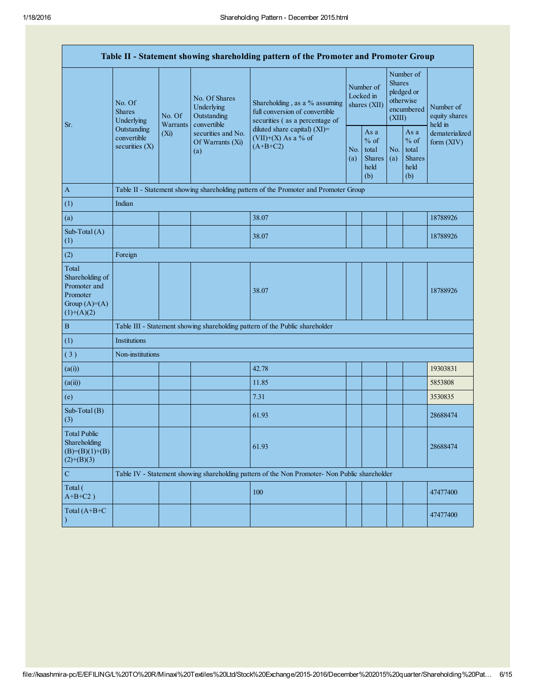|                                                                                        |                                                |                                                                                      |                                                           | Table II - Statement showing shareholding pattern of the Promoter and Promoter Group              |  |                                                  |                                                                               |                                                         |                                                                         |
|----------------------------------------------------------------------------------------|------------------------------------------------|--------------------------------------------------------------------------------------|-----------------------------------------------------------|---------------------------------------------------------------------------------------------------|--|--------------------------------------------------|-------------------------------------------------------------------------------|---------------------------------------------------------|-------------------------------------------------------------------------|
| Sr.                                                                                    | No. Of<br><b>Shares</b><br>Underlying          | No. Of<br>Warrants                                                                   | No. Of Shares<br>Underlying<br>Outstanding<br>convertible | Shareholding, as a % assuming<br>full conversion of convertible<br>securities (as a percentage of |  | Number of<br>Locked in<br>shares (XII)           | Number of<br><b>Shares</b><br>pledged or<br>otherwise<br>encumbered<br>(XIII) |                                                         | Number of<br>equity shares<br>held in<br>dematerialized<br>form $(XIV)$ |
|                                                                                        | Outstanding<br>convertible<br>securities $(X)$ | (Xi)                                                                                 | securities and No.<br>Of Warrants (Xi)<br>(a)             | diluted share capital) $(XI)$ =<br>$(VII)+(X)$ As a % of<br>$(A+B+C2)$                            |  | As a<br>$%$ of<br>total<br>Shares<br>held<br>(b) | No.<br>(a)                                                                    | As a<br>$%$ of<br>total<br><b>Shares</b><br>held<br>(b) |                                                                         |
| $\boldsymbol{\mathrm{A}}$                                                              |                                                | Table II - Statement showing shareholding pattern of the Promoter and Promoter Group |                                                           |                                                                                                   |  |                                                  |                                                                               |                                                         |                                                                         |
| (1)                                                                                    | Indian                                         |                                                                                      |                                                           |                                                                                                   |  |                                                  |                                                                               |                                                         |                                                                         |
| (a)                                                                                    |                                                |                                                                                      |                                                           | 38.07                                                                                             |  |                                                  |                                                                               |                                                         | 18788926                                                                |
| Sub-Total (A)<br>(1)                                                                   |                                                |                                                                                      |                                                           | 38.07                                                                                             |  |                                                  |                                                                               |                                                         | 18788926                                                                |
| (2)                                                                                    | Foreign                                        |                                                                                      |                                                           |                                                                                                   |  |                                                  |                                                                               |                                                         |                                                                         |
| Total<br>Shareholding of<br>Promoter and<br>Promoter<br>Group $(A)=A)$<br>$(1)+(A)(2)$ |                                                |                                                                                      |                                                           | 38.07                                                                                             |  |                                                  |                                                                               |                                                         | 18788926                                                                |
| $\, {\bf B}$                                                                           |                                                |                                                                                      |                                                           | Table III - Statement showing shareholding pattern of the Public shareholder                      |  |                                                  |                                                                               |                                                         |                                                                         |
| (1)                                                                                    | Institutions                                   |                                                                                      |                                                           |                                                                                                   |  |                                                  |                                                                               |                                                         |                                                                         |
| (3)                                                                                    | Non-institutions                               |                                                                                      |                                                           |                                                                                                   |  |                                                  |                                                                               |                                                         |                                                                         |
| (a(i))                                                                                 |                                                |                                                                                      |                                                           | 42.78                                                                                             |  |                                                  |                                                                               |                                                         | 19303831                                                                |
| (a(ii))                                                                                |                                                |                                                                                      |                                                           | 11.85                                                                                             |  |                                                  |                                                                               |                                                         | 5853808                                                                 |
| (e)                                                                                    |                                                |                                                                                      |                                                           | 7.31                                                                                              |  |                                                  |                                                                               |                                                         | 3530835                                                                 |
| Sub-Total (B)<br>(3)                                                                   |                                                |                                                                                      |                                                           | 61.93                                                                                             |  |                                                  |                                                                               |                                                         | 28688474                                                                |
| <b>Total Public</b><br>Shareholding<br>$(B)= (B)(1)+(B)$<br>$(2)+(B)(3)$               |                                                |                                                                                      |                                                           | 61.93                                                                                             |  |                                                  |                                                                               |                                                         | 28688474                                                                |
| $\mathbf C$                                                                            |                                                |                                                                                      |                                                           | Table IV - Statement showing shareholding pattern of the Non Promoter- Non Public shareholder     |  |                                                  |                                                                               |                                                         |                                                                         |
| Total (<br>$A+B+C2$ )                                                                  |                                                |                                                                                      |                                                           | 100                                                                                               |  |                                                  |                                                                               |                                                         | 47477400                                                                |
| Total $(A+B+C)$                                                                        |                                                |                                                                                      |                                                           |                                                                                                   |  |                                                  |                                                                               |                                                         | 47477400                                                                |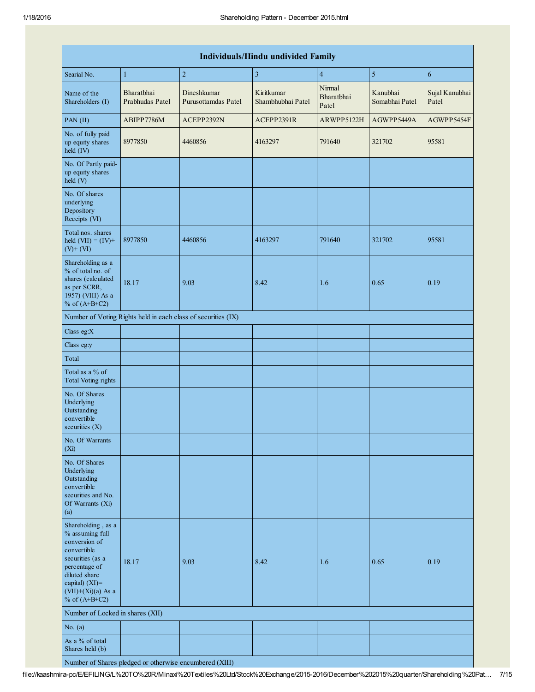| <b>Individuals/Hindu undivided Family</b>                                                                                                                                                   |                               |                                                               |                                 |                               |                            |                         |  |  |  |
|---------------------------------------------------------------------------------------------------------------------------------------------------------------------------------------------|-------------------------------|---------------------------------------------------------------|---------------------------------|-------------------------------|----------------------------|-------------------------|--|--|--|
| Searial No.                                                                                                                                                                                 | $\mathbf{1}$                  | $\overline{c}$                                                | 3                               | $\overline{4}$                | 5                          | 6                       |  |  |  |
| Name of the<br>Shareholders (I)                                                                                                                                                             | Bharatbhai<br>Prabhudas Patel | Dineshkumar<br>Purusottamdas Patel                            | Kiritkumar<br>Shambhubhai Patel | Nirmal<br>Bharatbhai<br>Patel | Kanubhai<br>Somabhai Patel | Sujal Kanubhai<br>Patel |  |  |  |
| $PAN$ (II)                                                                                                                                                                                  | ABIPP7786M                    | ACEPP2392N                                                    | ACEPP2391R                      | ARWPP5122H                    | AGWPP5449A                 | AGWPP5454F              |  |  |  |
| No. of fully paid<br>up equity shares<br>held (IV)                                                                                                                                          | 8977850                       | 4460856                                                       | 4163297                         | 791640                        | 321702                     | 95581                   |  |  |  |
| No. Of Partly paid-<br>up equity shares<br>held (V)                                                                                                                                         |                               |                                                               |                                 |                               |                            |                         |  |  |  |
| No. Of shares<br>underlying<br>Depository<br>Receipts (VI)                                                                                                                                  |                               |                                                               |                                 |                               |                            |                         |  |  |  |
| Total nos. shares<br>held $(VII) = (IV) +$<br>$(V)$ + $(VI)$                                                                                                                                | 8977850                       | 4460856                                                       | 4163297                         | 791640                        | 321702                     | 95581                   |  |  |  |
| Shareholding as a<br>% of total no. of<br>shares (calculated<br>as per SCRR,<br>1957) (VIII) As a<br>% of $(A+B+C2)$                                                                        | 18.17                         | 9.03                                                          | 8.42                            | 1.6                           | 0.65                       | 0.19                    |  |  |  |
|                                                                                                                                                                                             |                               | Number of Voting Rights held in each class of securities (IX) |                                 |                               |                            |                         |  |  |  |
| Class eg:X                                                                                                                                                                                  |                               |                                                               |                                 |                               |                            |                         |  |  |  |
| Class eg:y                                                                                                                                                                                  |                               |                                                               |                                 |                               |                            |                         |  |  |  |
| Total                                                                                                                                                                                       |                               |                                                               |                                 |                               |                            |                         |  |  |  |
| Total as a % of<br><b>Total Voting rights</b>                                                                                                                                               |                               |                                                               |                                 |                               |                            |                         |  |  |  |
| No. Of Shares<br>Underlying<br>Outstanding<br>convertible<br>securities $(X)$                                                                                                               |                               |                                                               |                                 |                               |                            |                         |  |  |  |
| No. Of Warrants<br>$(X_i)$                                                                                                                                                                  |                               |                                                               |                                 |                               |                            |                         |  |  |  |
| No. Of Shares<br>Underlying<br>Outstanding<br>convertible<br>securities and No.<br>Of Warrants (Xi)<br>(a)                                                                                  |                               |                                                               |                                 |                               |                            |                         |  |  |  |
| Shareholding, as a<br>% assuming full<br>conversion of<br>convertible<br>securities (as a<br>percentage of<br>diluted share<br>capital) $(XI)$ =<br>$(VII)+(Xi)(a)$ As a<br>% of $(A+B+C2)$ | 18.17                         | 9.03                                                          | 8.42                            | 1.6                           | 0.65                       | 0.19                    |  |  |  |
| Number of Locked in shares (XII)                                                                                                                                                            |                               |                                                               |                                 |                               |                            |                         |  |  |  |
| No. $(a)$                                                                                                                                                                                   |                               |                                                               |                                 |                               |                            |                         |  |  |  |
| As a % of total<br>Shares held (b)                                                                                                                                                          |                               |                                                               |                                 |                               |                            |                         |  |  |  |

Number of Shares pledged or otherwise encumbered (XIII)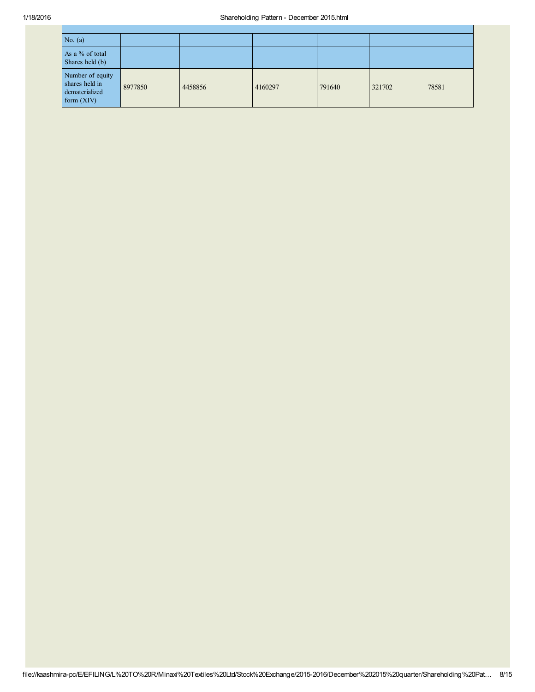| No. $(a)$                                                            |         |         |         |        |        |       |
|----------------------------------------------------------------------|---------|---------|---------|--------|--------|-------|
| As a % of total<br>Shares held (b)                                   |         |         |         |        |        |       |
| Number of equity<br>shares held in<br>dematerialized<br>form $(XIV)$ | 8977850 | 4458856 | 4160297 | 791640 | 321702 | 78581 |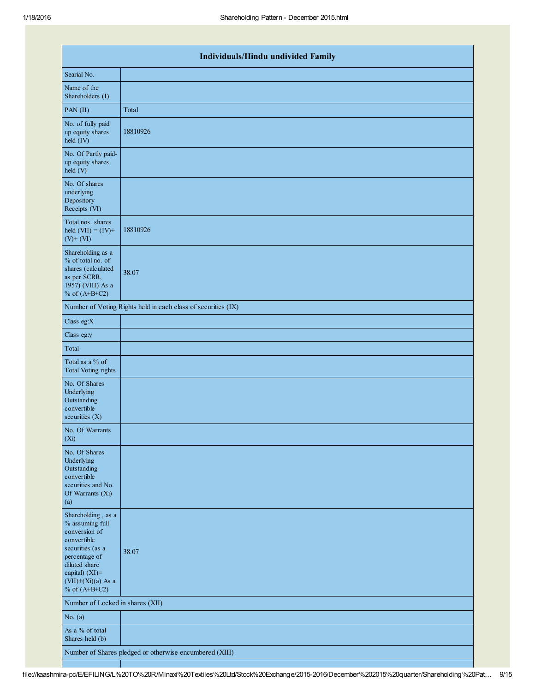| Individuals/Hindu undivided Family                                                                                                                                                       |                                                               |  |  |  |  |  |  |
|------------------------------------------------------------------------------------------------------------------------------------------------------------------------------------------|---------------------------------------------------------------|--|--|--|--|--|--|
| Searial No.                                                                                                                                                                              |                                                               |  |  |  |  |  |  |
| Name of the<br>Shareholders (I)                                                                                                                                                          |                                                               |  |  |  |  |  |  |
| PAN (II)                                                                                                                                                                                 | Total                                                         |  |  |  |  |  |  |
| No. of fully paid<br>up equity shares<br>held (IV)                                                                                                                                       | 18810926                                                      |  |  |  |  |  |  |
| No. Of Partly paid-<br>up equity shares<br>held (V)                                                                                                                                      |                                                               |  |  |  |  |  |  |
| No. Of shares<br>underlying<br>Depository<br>Receipts (VI)                                                                                                                               |                                                               |  |  |  |  |  |  |
| Total nos. shares<br>held $(VII) = (IV) +$<br>$(V)$ + $(VI)$                                                                                                                             | 18810926                                                      |  |  |  |  |  |  |
| Shareholding as a<br>% of total no. of<br>shares (calculated<br>as per SCRR,<br>1957) (VIII) As a<br>% of $(A+B+C2)$                                                                     | 38.07                                                         |  |  |  |  |  |  |
|                                                                                                                                                                                          | Number of Voting Rights held in each class of securities (IX) |  |  |  |  |  |  |
| Class eg:X                                                                                                                                                                               |                                                               |  |  |  |  |  |  |
| Class eg:y                                                                                                                                                                               |                                                               |  |  |  |  |  |  |
| Total                                                                                                                                                                                    |                                                               |  |  |  |  |  |  |
| Total as a % of<br><b>Total Voting rights</b>                                                                                                                                            |                                                               |  |  |  |  |  |  |
| No. Of Shares<br>Underlying<br>Outstanding<br>convertible<br>securities $(X)$                                                                                                            |                                                               |  |  |  |  |  |  |
| No. Of Warrants<br>(X <sub>i</sub> )                                                                                                                                                     |                                                               |  |  |  |  |  |  |
| No. Of Shares<br>Underlying<br>Outstanding<br>convertible<br>securities and No.<br>Of Warrants (Xi)<br>(a)                                                                               |                                                               |  |  |  |  |  |  |
| Shareholding, as a<br>% assuming full<br>conversion of<br>convertible<br>securities (as a<br>percentage of<br>diluted share<br>capital) (XI)=<br>$(VII)+(Xi)(a)$ As a<br>% of $(A+B+C2)$ | 38.07                                                         |  |  |  |  |  |  |
| Number of Locked in shares (XII)                                                                                                                                                         |                                                               |  |  |  |  |  |  |
| No. $(a)$                                                                                                                                                                                |                                                               |  |  |  |  |  |  |
| As a % of total<br>Shares held (b)                                                                                                                                                       |                                                               |  |  |  |  |  |  |
|                                                                                                                                                                                          | Number of Shares pledged or otherwise encumbered (XIII)       |  |  |  |  |  |  |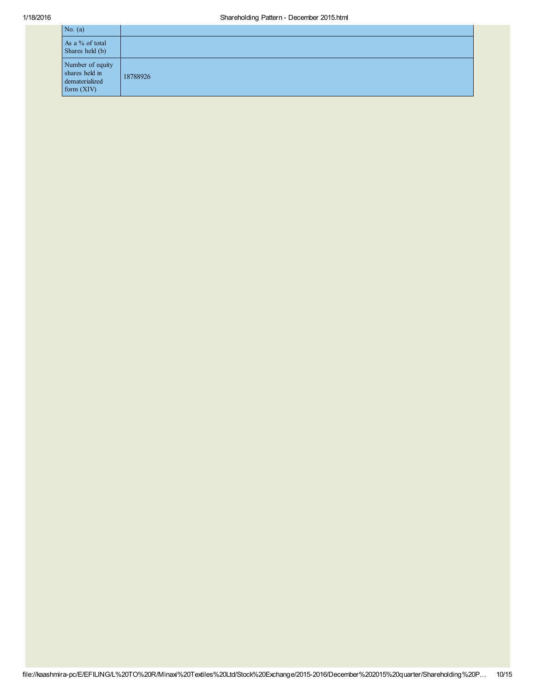| No. $(a)$                                                            |          |
|----------------------------------------------------------------------|----------|
| As a % of total<br>Shares held (b)                                   |          |
| Number of equity<br>shares held in<br>dematerialized<br>form $(XIV)$ | 18788926 |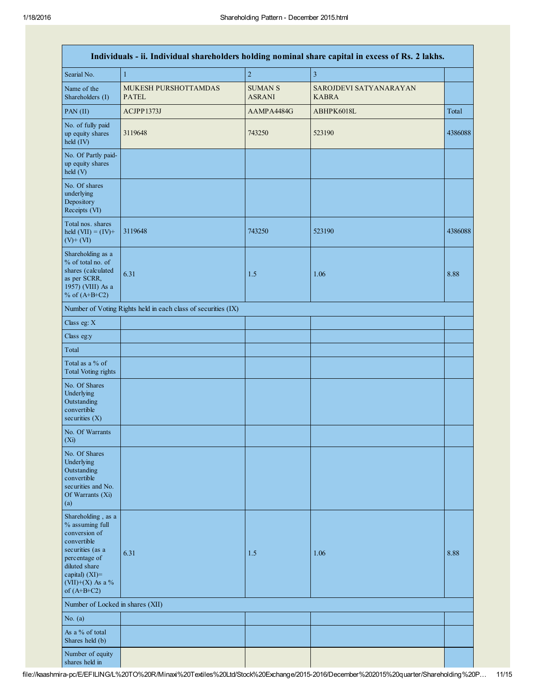|                                                                                                                                                                                         |                                                               |                                 | Individuals - ii. Individual shareholders holding nominal share capital in excess of Rs. 2 lakhs. |         |
|-----------------------------------------------------------------------------------------------------------------------------------------------------------------------------------------|---------------------------------------------------------------|---------------------------------|---------------------------------------------------------------------------------------------------|---------|
| Searial No.                                                                                                                                                                             | $\mathbf{1}$                                                  | $\overline{c}$                  | $\overline{3}$                                                                                    |         |
| Name of the<br>Shareholders (I)                                                                                                                                                         | MUKESH PURSHOTTAMDAS<br><b>PATEL</b>                          | <b>SUMAN S</b><br><b>ASRANI</b> | SAROJDEVI SATYANARAYAN<br><b>KABRA</b>                                                            |         |
| PAN (II)                                                                                                                                                                                | ACJPP1373J                                                    | AAMPA4484G                      | ABHPK6018L                                                                                        | Total   |
| No. of fully paid<br>up equity shares<br>held (IV)                                                                                                                                      | 3119648                                                       | 743250                          | 523190                                                                                            | 4386088 |
| No. Of Partly paid-<br>up equity shares<br>held (V)                                                                                                                                     |                                                               |                                 |                                                                                                   |         |
| No. Of shares<br>underlying<br>Depository<br>Receipts (VI)                                                                                                                              |                                                               |                                 |                                                                                                   |         |
| Total nos. shares<br>held $(VII) = (IV) +$<br>$(V)$ + $(VI)$                                                                                                                            | 3119648                                                       | 743250                          | 523190                                                                                            | 4386088 |
| Shareholding as a<br>% of total no. of<br>shares (calculated<br>as per SCRR,<br>1957) (VIII) As a<br>% of $(A+B+C2)$                                                                    | 6.31                                                          | 1.5                             | 1.06                                                                                              | 8.88    |
|                                                                                                                                                                                         | Number of Voting Rights held in each class of securities (IX) |                                 |                                                                                                   |         |
| Class eg: X                                                                                                                                                                             |                                                               |                                 |                                                                                                   |         |
| Class eg:y                                                                                                                                                                              |                                                               |                                 |                                                                                                   |         |
| Total                                                                                                                                                                                   |                                                               |                                 |                                                                                                   |         |
| Total as a % of<br><b>Total Voting rights</b>                                                                                                                                           |                                                               |                                 |                                                                                                   |         |
| No. Of Shares<br>Underlying<br>Outstanding<br>convertible<br>securities $(X)$                                                                                                           |                                                               |                                 |                                                                                                   |         |
| No. Of Warrants<br>(Xi)                                                                                                                                                                 |                                                               |                                 |                                                                                                   |         |
| No. Of Shares<br>Underlying<br>Outstanding<br>convertible<br>securities and No.<br>Of Warrants (Xi)<br>(a)                                                                              |                                                               |                                 |                                                                                                   |         |
| Shareholding, as a<br>% assuming full<br>conversion of<br>convertible<br>securities (as a<br>percentage of<br>diluted share<br>capital) $(XI)$ =<br>$(VII)+(X)$ As a %<br>of $(A+B+C2)$ | 6.31                                                          | 1.5                             | 1.06                                                                                              | 8.88    |
| Number of Locked in shares (XII)                                                                                                                                                        |                                                               |                                 |                                                                                                   |         |
| No. $(a)$                                                                                                                                                                               |                                                               |                                 |                                                                                                   |         |
| As a % of total<br>Shares held (b)                                                                                                                                                      |                                                               |                                 |                                                                                                   |         |
| Number of equity<br>shares held in                                                                                                                                                      |                                                               |                                 |                                                                                                   |         |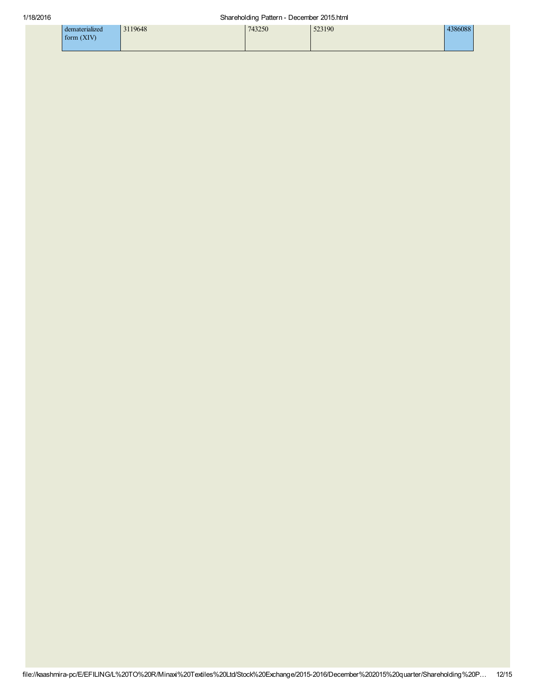| naterialized                 | 43250 | 523190 | COP<br>10000G |
|------------------------------|-------|--------|---------------|
| <b>TYIV</b><br>form<br>(211) |       |        |               |
|                              |       |        |               |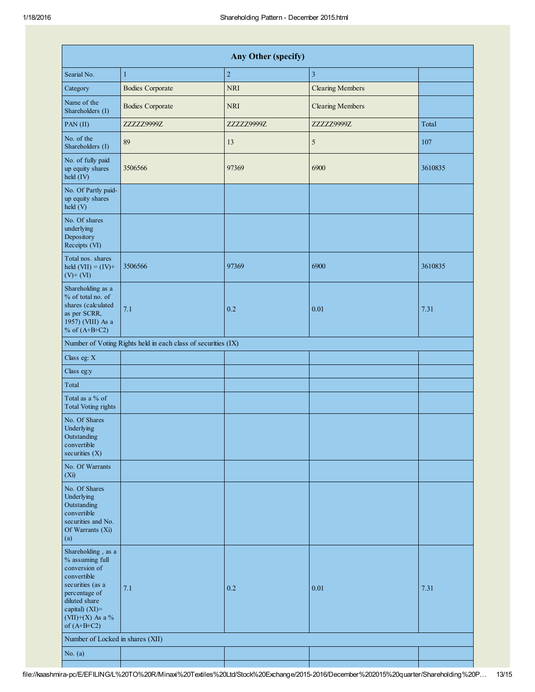| <b>Any Other (specify)</b>                                                                                                                                                         |                         |            |                         |         |  |  |
|------------------------------------------------------------------------------------------------------------------------------------------------------------------------------------|-------------------------|------------|-------------------------|---------|--|--|
| Searial No.                                                                                                                                                                        | $\mathbf{1}$            | $\sqrt{2}$ | $\overline{\mathbf{3}}$ |         |  |  |
| Category                                                                                                                                                                           | <b>Bodies Corporate</b> | <b>NRI</b> | <b>Clearing Members</b> |         |  |  |
| Name of the<br>Shareholders (I)                                                                                                                                                    | <b>Bodies Corporate</b> | <b>NRI</b> | <b>Clearing Members</b> |         |  |  |
| PAN(II)                                                                                                                                                                            | ZZZZZ9999Z              | ZZZZZ9999Z | ZZZZZ9999Z              | Total   |  |  |
| No. of the<br>Shareholders (I)                                                                                                                                                     | 89                      | 13         | 5                       | 107     |  |  |
| No. of fully paid<br>up equity shares<br>$held$ (IV)                                                                                                                               | 3506566                 | 97369      | 6900                    | 3610835 |  |  |
| No. Of Partly paid-<br>up equity shares<br>held (V)                                                                                                                                |                         |            |                         |         |  |  |
| No. Of shares<br>underlying<br>Depository<br>Receipts (VI)                                                                                                                         |                         |            |                         |         |  |  |
| Total nos. shares<br>held $(VII) = (IV) +$<br>$(V)$ + $(VI)$                                                                                                                       | 3506566                 | 97369      | 6900                    | 3610835 |  |  |
| Shareholding as a<br>% of total no. of<br>shares (calculated<br>as per SCRR,<br>1957) (VIII) As a<br>% of $(A+B+C2)$                                                               | 7.1                     | 0.2        | 0.01                    | 7.31    |  |  |
| Number of Voting Rights held in each class of securities (IX)                                                                                                                      |                         |            |                         |         |  |  |
| Class eg: X                                                                                                                                                                        |                         |            |                         |         |  |  |
| Class eg:y                                                                                                                                                                         |                         |            |                         |         |  |  |
| Total                                                                                                                                                                              |                         |            |                         |         |  |  |
| Total as a % of<br><b>Total Voting rights</b>                                                                                                                                      |                         |            |                         |         |  |  |
| No. Of Shares<br>Underlying<br>Outstanding<br>convertible<br>securities $(X)$                                                                                                      |                         |            |                         |         |  |  |
| No. Of Warrants<br>$(X_i)$                                                                                                                                                         |                         |            |                         |         |  |  |
| No. Of Shares<br>Underlying<br>Outstanding<br>convertible<br>securities and No.<br>Of Warrants (Xi)<br>(a)                                                                         |                         |            |                         |         |  |  |
| Shareholding, as a<br>% assuming full<br>conversion of<br>convertible<br>securities (as a<br>percentage of<br>diluted share<br>capital) (XI)=<br>(VII)+(X) As a %<br>of $(A+B+C2)$ | 7.1                     | 0.2        | 0.01                    | 7.31    |  |  |
| Number of Locked in shares (XII)                                                                                                                                                   |                         |            |                         |         |  |  |
| No. $(a)$                                                                                                                                                                          |                         |            |                         |         |  |  |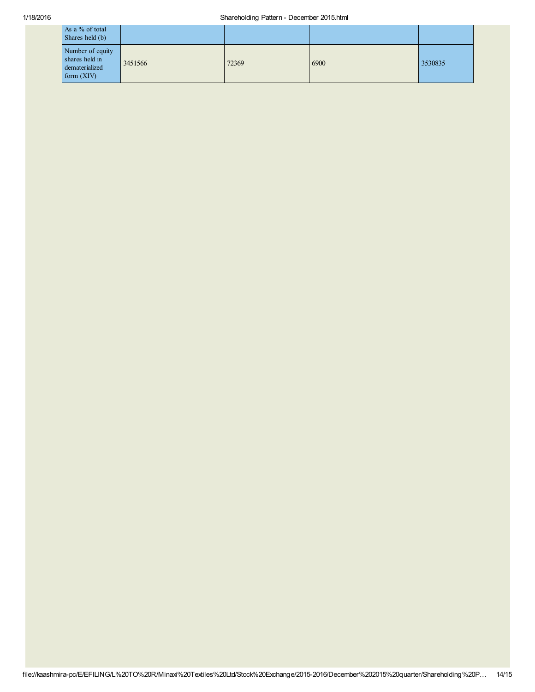## 1/18/2016 Shareholding Pattern - December 2015.html

| As a % of total<br>Shares held (b)                                   |         |       |      |         |
|----------------------------------------------------------------------|---------|-------|------|---------|
| Number of equity<br>shares held in<br>dematerialized<br>form $(XIV)$ | 3451566 | 72369 | 6900 | 3530835 |